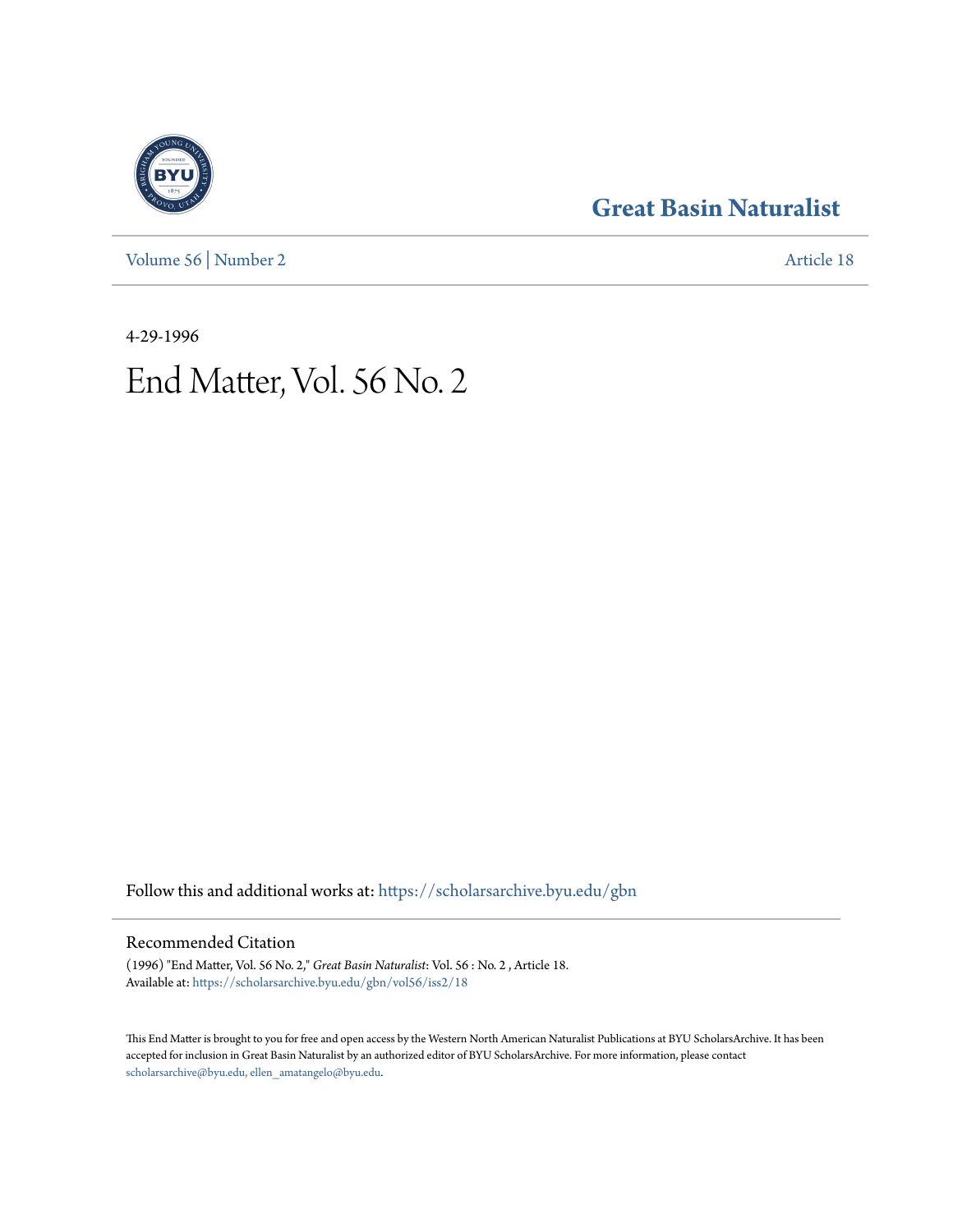[Volume 56](https://scholarsarchive.byu.edu/gbn/vol56?utm_source=scholarsarchive.byu.edu%2Fgbn%2Fvol56%2Fiss2%2F18&utm_medium=PDF&utm_campaign=PDFCoverPages) | [Number 2](https://scholarsarchive.byu.edu/gbn/vol56/iss2?utm_source=scholarsarchive.byu.edu%2Fgbn%2Fvol56%2Fiss2%2F18&utm_medium=PDF&utm_campaign=PDFCoverPages) [Article 18](https://scholarsarchive.byu.edu/gbn/vol56/iss2/18?utm_source=scholarsarchive.byu.edu%2Fgbn%2Fvol56%2Fiss2%2F18&utm_medium=PDF&utm_campaign=PDFCoverPages)

### **[Great Basin Naturalist](https://scholarsarchive.byu.edu/gbn?utm_source=scholarsarchive.byu.edu%2Fgbn%2Fvol56%2Fiss2%2F18&utm_medium=PDF&utm_campaign=PDFCoverPages)**

4-29-1996

# End Matter, Vol. 56 No. 2

Follow this and additional works at: [https://scholarsarchive.byu.edu/gbn](https://scholarsarchive.byu.edu/gbn?utm_source=scholarsarchive.byu.edu%2Fgbn%2Fvol56%2Fiss2%2F18&utm_medium=PDF&utm_campaign=PDFCoverPages)

#### Recommended Citation

(1996) "End Matter, Vol. 56 No. 2," *Great Basin Naturalist*: Vol. 56 : No. 2 , Article 18. Available at: [https://scholarsarchive.byu.edu/gbn/vol56/iss2/18](https://scholarsarchive.byu.edu/gbn/vol56/iss2/18?utm_source=scholarsarchive.byu.edu%2Fgbn%2Fvol56%2Fiss2%2F18&utm_medium=PDF&utm_campaign=PDFCoverPages)

This End Matter is brought to you for free and open access by the Western North American Naturalist Publications at BYU ScholarsArchive. It has been accepted for inclusion in Great Basin Naturalist by an authorized editor of BYU ScholarsArchive. For more information, please contact [scholarsarchive@byu.edu, ellen\\_amatangelo@byu.edu.](mailto:scholarsarchive@byu.edu,%20ellen_amatangelo@byu.edu)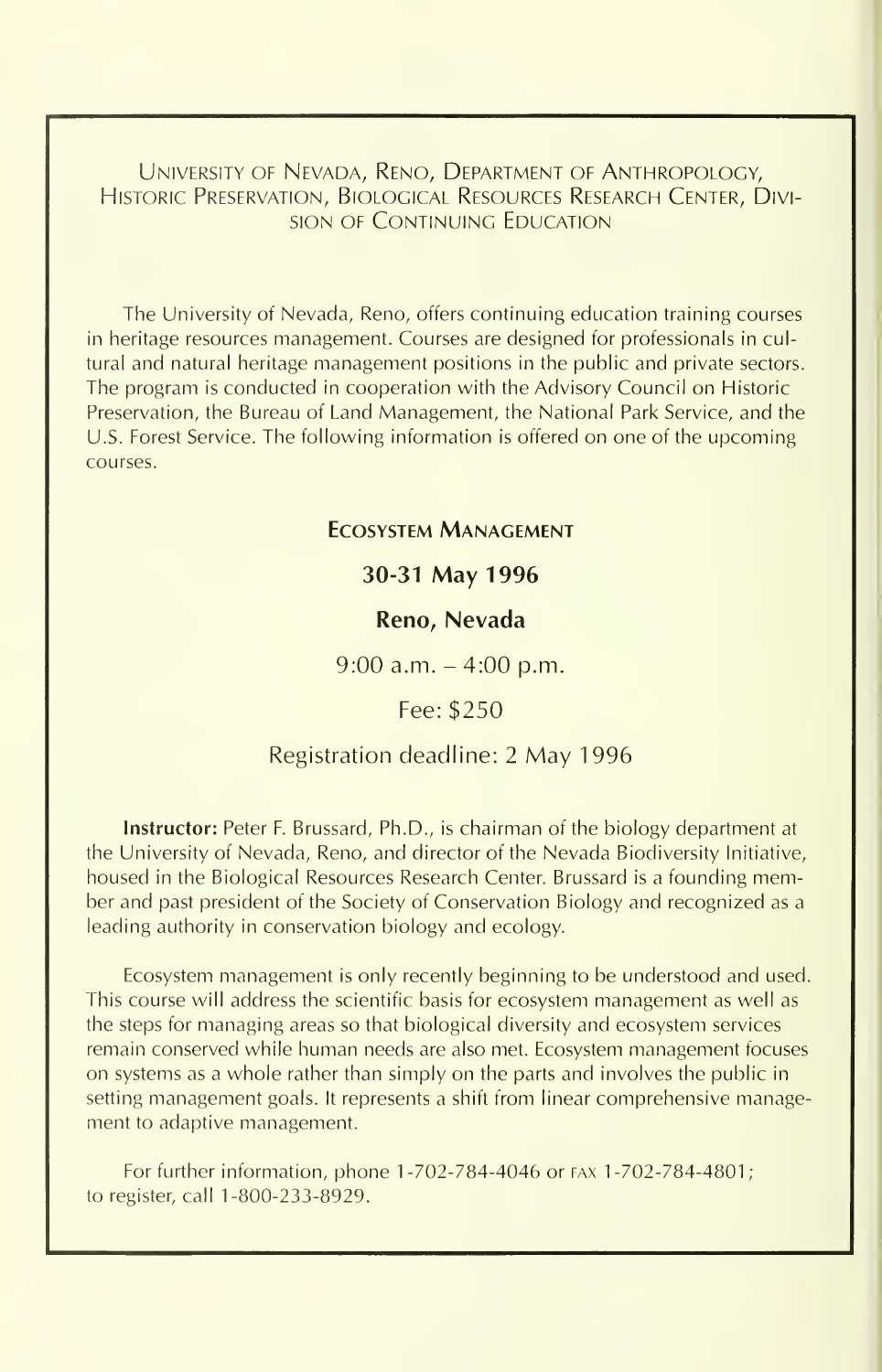University of Nevada, Reno, Department of Anthropology, Historic Preservation, Biological Resources Research Center, Division OF Continuing Education

The University of Nevada, Reno, offers continuing education training courses in heritage resources management. Courses are designed for professionals in cultural and natural heritage management positions in the public and private sectors. The program is conducted in cooperation with the Advisory Council on Historic Preservation, the Bureau of Land Management, the National Park Service, and the U.S. Forest Service. The following information is offered on one of the upcoming courses.

#### Ecosystem Management

#### 30-31 May 1996

#### Reno, Nevada

 $9:00$  a.m.  $-4:00$  p.m.

Fee: \$250

#### Registration deadline: <sup>2</sup> May 1996

Instructor: Peter F. Brussard, Ph.D., is chairman of the biology department at the University of Nevada, Reno, and director of the Nevada Biodiversity Initiative, housed in the Biological Resources Research Center. Brussard is <sup>a</sup> founding member and past president of the Society of Conservation Biology and recognized as a leading authority in conservation biology and ecology.

Ecosystem management is only recently beginning to be understood and used. This course will address the scientific basis for ecosystem management as well as the steps for managing areas so that biological diversity and ecosystem services remain conserved while human needs are also met. Ecosystem management focuses on systems as a whole rather than simply on the parts and involves the public in setting management goals. It represents a shift from linear comprehensive management to adaptive management.

For further information, phone 1-702-784-4046 or fax 1-702-784-4801; to register, call 1-800-233-8929.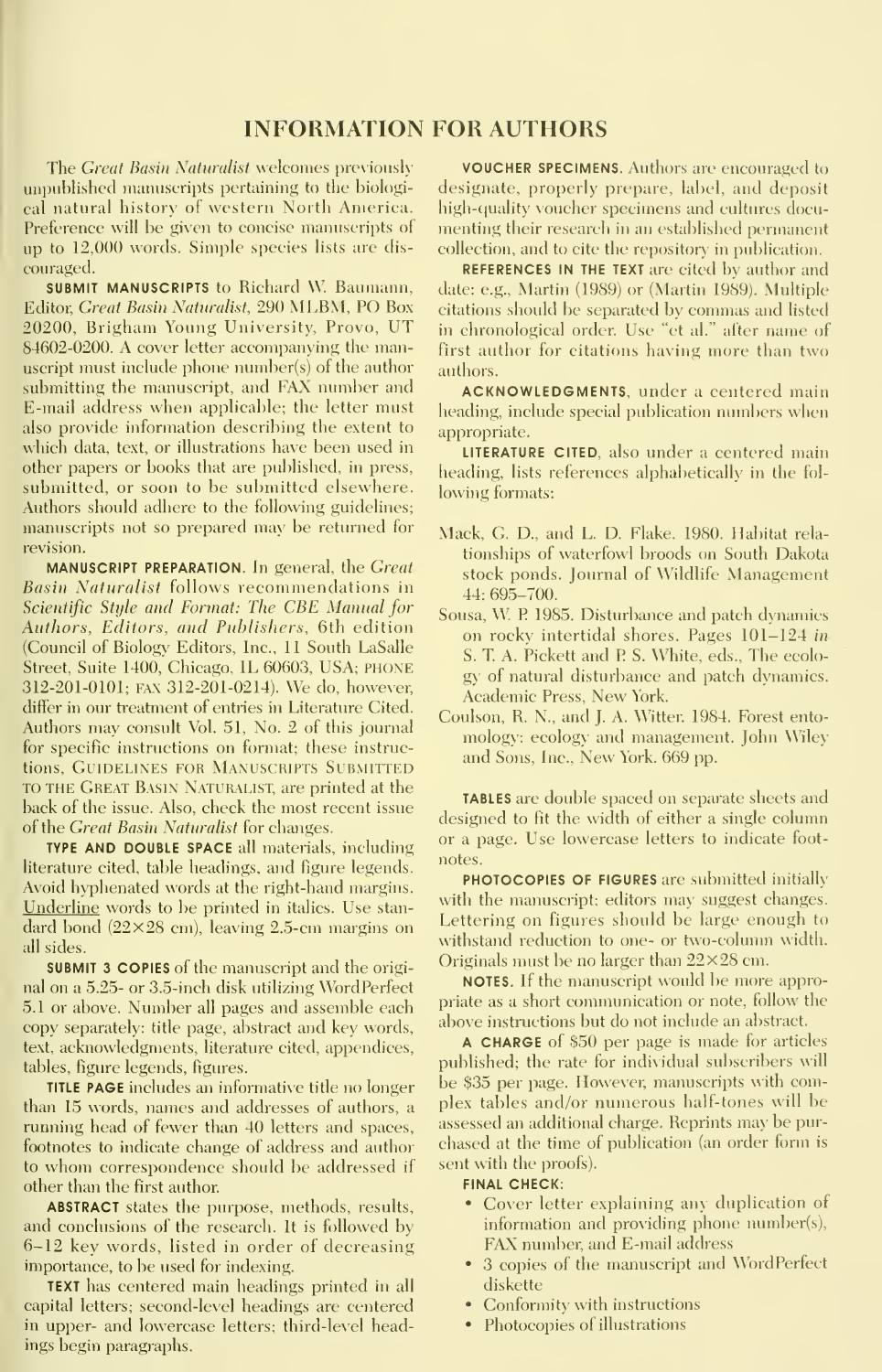#### INFORMATION FOR AUTHORS

The Great Basin Naturalist welcomes previously unpublished manuscripts pertaining to the biological natural history of western North America. Preference will be given to concise manuscripts of up to 12,000 words. Simple species lists are dis couraged.

**SUBMIT MANUSCRIPTS to Richard W. Baumann,** Editor, Great Basin Naturalist, 290 MLBM, PO Box 20200, Brigham Young University, Provo, UT 84602-0200. A cover letter accompanying the manuscript must include phone number(s) of the author submitting the manuscript, and FAX number and E-mail address when applicable; the letter must also provide information describing the extent to which data, text, or illustrations have been used in other papers or books that are published, in press, submitted, or soon to be submitted elsewhere. Authors should adhere to the following guidelines; manuscripts not so prepared may be returned for revision.

MANUSCRIPT PREPARATION. In general, the Great Basin Naturalist follows recommendations in Scientific Style and Format: The CBE Manual for Authors, Editors, and Publishers, 6th edition (Council of Biology Editors, Inc., II South LaSalle Street, Suite 1400, Chicago, IL 60603, USA; PHONE 312-201-0101; FAX 312-201-0214). We do, however, differ in our treatment of entries in Literature Cited. Authors may consult Vol. 51, No. 2 of this journal for specific instructions on format; these instructions, GUIDELINES FOR MANUSCRIPTS SUBMITTED TO THE Great Basin Naturalist, are printed at the back of the issue. Also, check the most recent issue of the Great Basin Naturalist for changes.

TYPE AND DOUBLE SPACE all materials, including literature cited, table headings, and figure legends. Avoid hyphenated words at the right-hand margins. Underline words to be printed in italics. Use stan dard bond  $(22\times28$  cm), leaving 2.5-cm margins on all sides.

SUBMIT 3 COPIES of the manuscript and the origi nal on a 5.25- or 3.5-inch disk utilizing WordPerfect 5.1 or above. Number all pages and assemble each copy separately: title page, abstract and key words, text, acknowledgments, literature cited, appendices, tables, figure legends, figures.

**TITLE PAGE** includes an informative title no longer than 15 words, names and addresses of authors, a running head of fewer than 40 letters and spaces, footnotes to indicate change of address and author to whom correspondence should be addressed if other than the first author.

ABSTRACT states the puipose, methods, results, and conclusions of the research. It is followed by 6-12 key words, listed in order of decreasing importance, to be used for indexing.

TEXT has centered main headings printed in all capital letters; second-level headings are centered in upper- and lowercase letters; third-level headings begin paragraphs.

VOUCHER SPECIMENS. Authors are encouraged to designate, properly prepare, label, and deposit high-quality voucher specimens and cultures documenting their research in an established permanent collection, and to cite the repository in publication.

REFERENCES IN THE TEXT are cited by author and date: e.g., Martin (1989) or (Martin 1989). Multiple citations should be separated by commas and listed in chronological order. Use "et al." after name of first author for citations having more than two authors.

ACKNOWLEDGMENTS, under <sup>a</sup> centered main heading, include special publication numbers when appropriate.

LITERATURE CITED, also under a centered main heading, lists references alphabetically in the fol lowing formats:

- Mack, G. D., and L. D. Flake. 1980. Habitat rela tionships of waterfowl broods on South Dakota stock ponds. Journal of Wildlife Management 44: 695-700.
- Sousa, W. P. 1985. Disturbance and patch dynamics on rocky intertidal shores. Pages 101-124 in S. T. A. Pickett and P. S. White, eds., The ecology of natural disturbance and patch dynamics. Academic Press, New York.
- Coulson, R. N., and J. A. Witter. 1984. Forest ento mology: ecology and management. John Wiley and Sons, Inc., New York. 669 pp.

TABLES are double spaced on separate sheets and designed to fit the width of either a single column or a page. Use lowercase letters to indicate foot notes.

PHOTOCOPIES OF FIGURES are submitted initially with the manuscript; editors may suggest changes. Lettering on figures should be large enough to withstand reduction to one- or two-column width. Originals must be no larger than  $22\times28$  cm.

NOTES. If the manuscript would be more appropriate as a short communication or note, follow the above instructions but do not include an abstract.

A CHARGE of \$50 per page is made for articles published; the rate for individual subscribers will be \$35 per page. However, manuscripts with complex tables and/or numerous half-tones will be assessed an additional charge. Reprints may be pur chased at the time of publication (an order form issent with the proofs).

#### FINAL CHECK:

- Cover letter explaining any duplication of information and providing phone number(s), FAX number, and E-mail address
- 3 copies of the manuscript and WordPerfect diskette
- Conformity with instructions
- Photocopies of illustrations